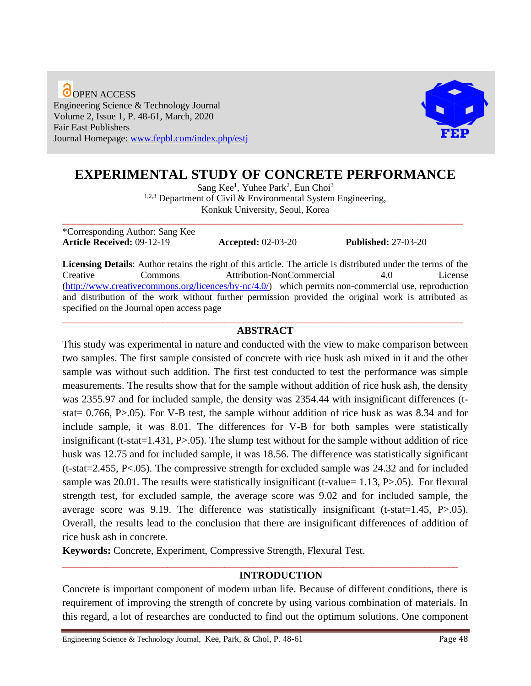O OPEN ACCESS Engineering Science & Technology Journal Volume 2, Issue 1, P. 48-61, March, 2020 Fair East Publishers Journal Homepage: [www.fepbl.com/index.php/estj](http://www.fepbl.com/index.php/estj)



# **EXPERIMENTAL STUDY OF CONCRETE PERFORMANCE**

Sang Kee<sup>1</sup>, Yuhee Park<sup>2</sup>, Eun Choi<sup>3</sup>  $1,2,3$  Department of Civil & Environmental System Engineering, Konkuk University, Seoul, Korea

\_\_\_\_\_\_\_\_\_\_\_\_\_\_\_\_\_\_\_\_\_\_\_\_\_\_\_\_\_\_\_\_\_\_\_\_\_\_\_\_\_\_\_\_\_\_\_\_\_\_\_\_\_\_\_\_\_\_\_\_\_\_\_\_\_\_\_\_\_\_\_\_\_\_\_\_\_\_\_\_\_\_\_\_

\*Corresponding Author: Sang Kee **Article Received:** 09-12-19 **Accepted:** 02-03-20 **Published:** 27-03-20

**Licensing Details**: Author retains the right of this article. The article is distributed under the terms of the Creative Commons Attribution-NonCommercial 4.0 License [\(http://www.creativecommons.org/licences/by-nc/4.0/\)](http://www.creativecommons.org/licences/by-nc/4.0/) which permits non-commercial use, reproduction and distribution of the work without further permission provided the original work is attributed as specified on the Journal open access page

#### \_\_\_\_\_\_\_\_\_\_\_\_\_\_\_\_\_\_\_\_\_\_\_\_\_\_\_\_\_\_\_\_\_\_\_\_\_\_\_\_\_\_\_\_\_\_\_\_\_\_\_\_\_\_\_\_\_\_\_\_\_\_\_\_\_\_\_\_\_\_\_\_\_\_\_\_\_\_\_\_\_\_\_\_ **ABSTRACT**

This study was experimental in nature and conducted with the view to make comparison between two samples. The first sample consisted of concrete with rice husk ash mixed in it and the other sample was without such addition. The first test conducted to test the performance was simple measurements. The results show that for the sample without addition of rice husk ash, the density was 2355.97 and for included sample, the density was 2354.44 with insignificant differences (tstat= 0.766, P>.05). For V-B test, the sample without addition of rice husk as was 8.34 and for include sample, it was 8.01. The differences for V-B for both samples were statistically insignificant (t-stat=1.431, P>.05). The slump test without for the sample without addition of rice husk was 12.75 and for included sample, it was 18.56. The difference was statistically significant (t-stat=2.455, P<.05). The compressive strength for excluded sample was 24.32 and for included sample was 20.01. The results were statistically insignificant (t-value=  $1.13$ , P $>0.05$ ). For flexural strength test, for excluded sample, the average score was 9.02 and for included sample, the average score was 9.19. The difference was statistically insignificant (t-stat=1.45, P>.05). Overall, the results lead to the conclusion that there are insignificant differences of addition of rice husk ash in concrete.

**Keywords:** Concrete, Experiment, Compressive Strength, Flexural Test.

# **INTRODUCTION**

Concrete is important component of modern urban life. Because of different conditions, there is requirement of improving the strength of concrete by using various combination of materials. In this regard, a lot of researches are conducted to find out the optimum solutions. One component

\_\_\_\_\_\_\_\_\_\_\_\_\_\_\_\_\_\_\_\_\_\_\_\_\_\_\_\_\_\_\_\_\_\_\_\_\_\_\_\_\_\_\_\_\_\_\_\_\_\_\_\_\_\_\_\_\_\_\_\_\_\_\_\_\_\_\_\_\_\_\_\_\_\_\_\_\_\_\_\_\_\_\_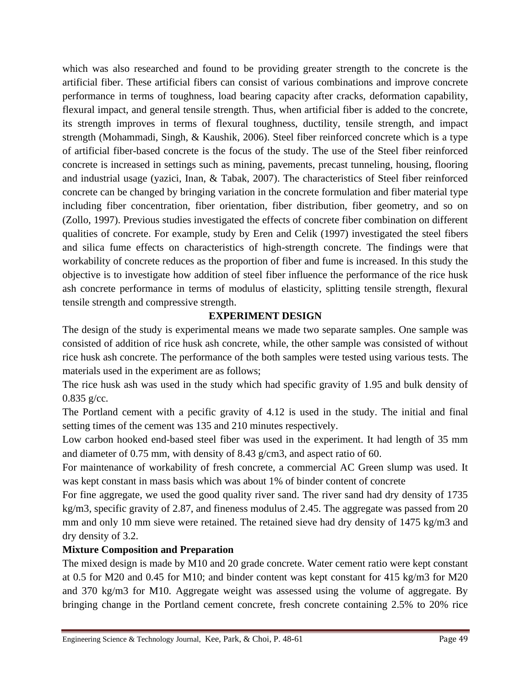which was also researched and found to be providing greater strength to the concrete is the artificial fiber. These artificial fibers can consist of various combinations and improve concrete performance in terms of toughness, load bearing capacity after cracks, deformation capability, flexural impact, and general tensile strength. Thus, when artificial fiber is added to the concrete, its strength improves in terms of flexural toughness, ductility, tensile strength, and impact strength (Mohammadi, Singh, & Kaushik, 2006). Steel fiber reinforced concrete which is a type of artificial fiber-based concrete is the focus of the study. The use of the Steel fiber reinforced concrete is increased in settings such as mining, pavements, precast tunneling, housing, flooring and industrial usage (yazici, Inan, & Tabak, 2007). The characteristics of Steel fiber reinforced concrete can be changed by bringing variation in the concrete formulation and fiber material type including fiber concentration, fiber orientation, fiber distribution, fiber geometry, and so on (Zollo, 1997). Previous studies investigated the effects of concrete fiber combination on different qualities of concrete. For example, study by Eren and Celik (1997) investigated the steel fibers and silica fume effects on characteristics of high-strength concrete. The findings were that workability of concrete reduces as the proportion of fiber and fume is increased. In this study the objective is to investigate how addition of steel fiber influence the performance of the rice husk ash concrete performance in terms of modulus of elasticity, splitting tensile strength, flexural tensile strength and compressive strength.

# **EXPERIMENT DESIGN**

The design of the study is experimental means we made two separate samples. One sample was consisted of addition of rice husk ash concrete, while, the other sample was consisted of without rice husk ash concrete. The performance of the both samples were tested using various tests. The materials used in the experiment are as follows;

The rice husk ash was used in the study which had specific gravity of 1.95 and bulk density of  $0.835$  g/cc.

The Portland cement with a pecific gravity of 4.12 is used in the study. The initial and final setting times of the cement was 135 and 210 minutes respectively.

Low carbon hooked end-based steel fiber was used in the experiment. It had length of 35 mm and diameter of 0.75 mm, with density of 8.43 g/cm3, and aspect ratio of 60.

For maintenance of workability of fresh concrete, a commercial AC Green slump was used. It was kept constant in mass basis which was about 1% of binder content of concrete

For fine aggregate, we used the good quality river sand. The river sand had dry density of 1735 kg/m3, specific gravity of 2.87, and fineness modulus of 2.45. The aggregate was passed from 20 mm and only 10 mm sieve were retained. The retained sieve had dry density of 1475 kg/m3 and dry density of 3.2.

# **Mixture Composition and Preparation**

The mixed design is made by M10 and 20 grade concrete. Water cement ratio were kept constant at 0.5 for M20 and 0.45 for M10; and binder content was kept constant for 415 kg/m3 for M20 and 370 kg/m3 for M10. Aggregate weight was assessed using the volume of aggregate. By bringing change in the Portland cement concrete, fresh concrete containing 2.5% to 20% rice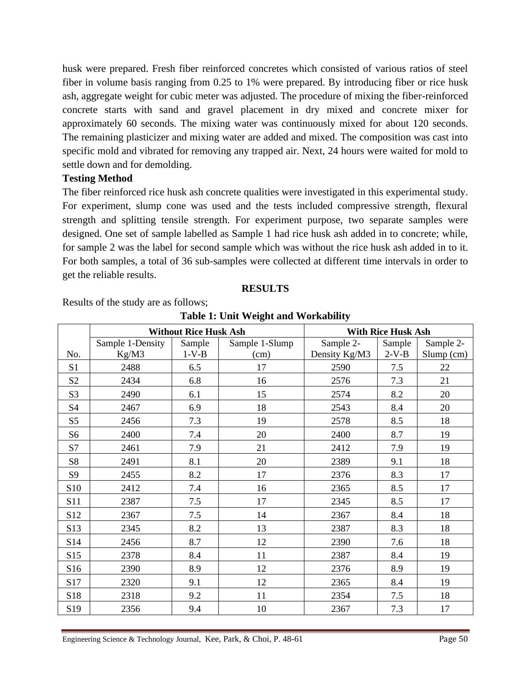husk were prepared. Fresh fiber reinforced concretes which consisted of various ratios of steel fiber in volume basis ranging from 0.25 to 1% were prepared. By introducing fiber or rice husk ash, aggregate weight for cubic meter was adjusted. The procedure of mixing the fiber-reinforced concrete starts with sand and gravel placement in dry mixed and concrete mixer for approximately 60 seconds. The mixing water was continuously mixed for about 120 seconds. The remaining plasticizer and mixing water are added and mixed. The composition was cast into specific mold and vibrated for removing any trapped air. Next, 24 hours were waited for mold to settle down and for demolding.

### **Testing Method**

The fiber reinforced rice husk ash concrete qualities were investigated in this experimental study. For experiment, slump cone was used and the tests included compressive strength, flexural strength and splitting tensile strength. For experiment purpose, two separate samples were designed. One set of sample labelled as Sample 1 had rice husk ash added in to concrete; while, for sample 2 was the label for second sample which was without the rice husk ash added in to it. For both samples, a total of 36 sub-samples were collected at different time intervals in order to get the reliable results.

### **RESULTS**

Results of the study are as follows;

|                 | <b>Without Rice Husk Ash</b> |         |                | <b>With Rice Husk Ash</b> |         |              |
|-----------------|------------------------------|---------|----------------|---------------------------|---------|--------------|
|                 | Sample 1-Density             | Sample  | Sample 1-Slump | Sample 2-                 | Sample  | Sample 2-    |
| No.             | Kg/M3                        | $1-V-B$ | (cm)           | Density Kg/M3             | $2-V-B$ | $Slump$ (cm) |
| S1              | 2488                         | 6.5     | 17             | 2590                      | 7.5     | 22           |
| S <sub>2</sub>  | 2434                         | 6.8     | 16             | 2576                      | 7.3     | 21           |
| S <sub>3</sub>  | 2490                         | 6.1     | 15             | 2574                      | 8.2     | 20           |
| S4              | 2467                         | 6.9     | 18             | 2543                      | 8.4     | 20           |
| S <sub>5</sub>  | 2456                         | 7.3     | 19             | 2578                      | 8.5     | 18           |
| S <sub>6</sub>  | 2400                         | 7.4     | 20             | 2400                      | 8.7     | 19           |
| S7              | 2461                         | 7.9     | 21             | 2412                      | 7.9     | 19           |
| <b>S8</b>       | 2491                         | 8.1     | 20             | 2389                      | 9.1     | 18           |
| S <sub>9</sub>  | 2455                         | 8.2     | 17             | 2376                      | 8.3     | 17           |
| S10             | 2412                         | 7.4     | 16             | 2365                      | 8.5     | 17           |
| S <sub>11</sub> | 2387                         | 7.5     | 17             | 2345                      | 8.5     | 17           |
| S12             | 2367                         | 7.5     | 14             | 2367                      | 8.4     | 18           |
| S13             | 2345                         | 8.2     | 13             | 2387                      | 8.3     | 18           |
| S14             | 2456                         | 8.7     | 12             | 2390                      | 7.6     | 18           |
| S15             | 2378                         | 8.4     | 11             | 2387                      | 8.4     | 19           |
| S <sub>16</sub> | 2390                         | 8.9     | 12             | 2376                      | 8.9     | 19           |
| S17             | 2320                         | 9.1     | 12             | 2365                      | 8.4     | 19           |
| S18             | 2318                         | 9.2     | 11             | 2354                      | 7.5     | 18           |
| S <sub>19</sub> | 2356                         | 9.4     | 10             | 2367                      | 7.3     | 17           |

**Table 1: Unit Weight and Workability**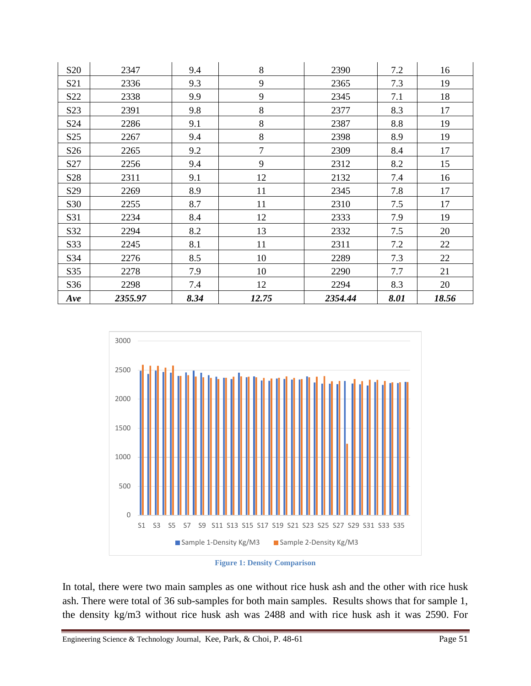| S <sub>20</sub> | 2347    | 9.4  | 8     | 2390    | 7.2  | 16    |
|-----------------|---------|------|-------|---------|------|-------|
| S <sub>21</sub> | 2336    | 9.3  | 9     | 2365    | 7.3  | 19    |
| S <sub>22</sub> | 2338    | 9.9  | 9     | 2345    | 7.1  | 18    |
| S <sub>23</sub> | 2391    | 9.8  | 8     | 2377    | 8.3  | 17    |
| S <sub>24</sub> | 2286    | 9.1  | 8     | 2387    | 8.8  | 19    |
| S <sub>25</sub> | 2267    | 9.4  | 8     | 2398    | 8.9  | 19    |
| S <sub>26</sub> | 2265    | 9.2  | 7     | 2309    | 8.4  | 17    |
| S27             | 2256    | 9.4  | 9     | 2312    | 8.2  | 15    |
| S <sub>28</sub> | 2311    | 9.1  | 12    | 2132    | 7.4  | 16    |
| S <sub>29</sub> | 2269    | 8.9  | 11    | 2345    | 7.8  | 17    |
| S30             | 2255    | 8.7  | 11    | 2310    | 7.5  | 17    |
| S31             | 2234    | 8.4  | 12    | 2333    | 7.9  | 19    |
| S32             | 2294    | 8.2  | 13    | 2332    | 7.5  | 20    |
| S33             | 2245    | 8.1  | 11    | 2311    | 7.2  | 22    |
| S34             | 2276    | 8.5  | 10    | 2289    | 7.3  | 22    |
| S35             | 2278    | 7.9  | 10    | 2290    | 7.7  | 21    |
| S36             | 2298    | 7.4  | 12    | 2294    | 8.3  | 20    |
| Ave             | 2355.97 | 8.34 | 12.75 | 2354.44 | 8.01 | 18.56 |





In total, there were two main samples as one without rice husk ash and the other with rice husk ash. There were total of 36 sub-samples for both main samples. Results shows that for sample 1, the density kg/m3 without rice husk ash was 2488 and with rice husk ash it was 2590. For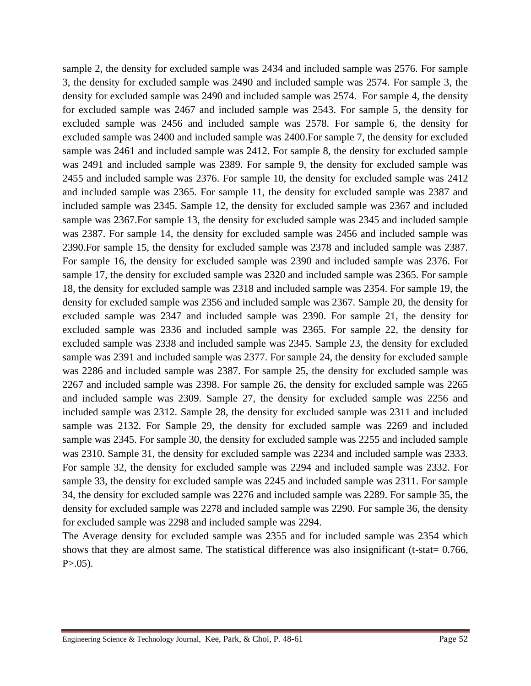sample 2, the density for excluded sample was 2434 and included sample was 2576. For sample 3, the density for excluded sample was 2490 and included sample was 2574. For sample 3, the density for excluded sample was 2490 and included sample was 2574. For sample 4, the density for excluded sample was 2467 and included sample was 2543. For sample 5, the density for excluded sample was 2456 and included sample was 2578. For sample 6, the density for excluded sample was 2400 and included sample was 2400.For sample 7, the density for excluded sample was 2461 and included sample was 2412. For sample 8, the density for excluded sample was 2491 and included sample was 2389. For sample 9, the density for excluded sample was 2455 and included sample was 2376. For sample 10, the density for excluded sample was 2412 and included sample was 2365. For sample 11, the density for excluded sample was 2387 and included sample was 2345. Sample 12, the density for excluded sample was 2367 and included sample was 2367.For sample 13, the density for excluded sample was 2345 and included sample was 2387. For sample 14, the density for excluded sample was 2456 and included sample was 2390.For sample 15, the density for excluded sample was 2378 and included sample was 2387. For sample 16, the density for excluded sample was 2390 and included sample was 2376. For sample 17, the density for excluded sample was 2320 and included sample was 2365. For sample 18, the density for excluded sample was 2318 and included sample was 2354. For sample 19, the density for excluded sample was 2356 and included sample was 2367. Sample 20, the density for excluded sample was 2347 and included sample was 2390. For sample 21, the density for excluded sample was 2336 and included sample was 2365. For sample 22, the density for excluded sample was 2338 and included sample was 2345. Sample 23, the density for excluded sample was 2391 and included sample was 2377. For sample 24, the density for excluded sample was 2286 and included sample was 2387. For sample 25, the density for excluded sample was 2267 and included sample was 2398. For sample 26, the density for excluded sample was 2265 and included sample was 2309. Sample 27, the density for excluded sample was 2256 and included sample was 2312. Sample 28, the density for excluded sample was 2311 and included sample was 2132. For Sample 29, the density for excluded sample was 2269 and included sample was 2345. For sample 30, the density for excluded sample was 2255 and included sample was 2310. Sample 31, the density for excluded sample was 2234 and included sample was 2333. For sample 32, the density for excluded sample was 2294 and included sample was 2332. For sample 33, the density for excluded sample was 2245 and included sample was 2311. For sample 34, the density for excluded sample was 2276 and included sample was 2289. For sample 35, the density for excluded sample was 2278 and included sample was 2290. For sample 36, the density for excluded sample was 2298 and included sample was 2294.

The Average density for excluded sample was 2355 and for included sample was 2354 which shows that they are almost same. The statistical difference was also insignificant (t-stat= 0.766,  $P > 0.05$ ).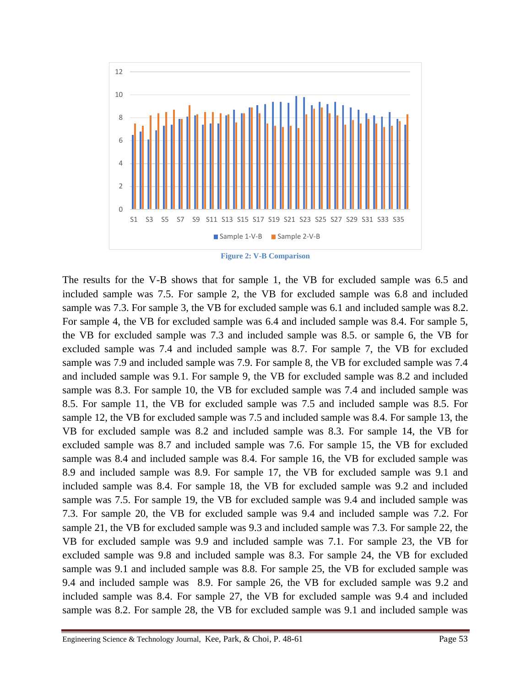

**Figure 2: V-B Comparison**

The results for the V-B shows that for sample 1, the VB for excluded sample was 6.5 and included sample was 7.5. For sample 2, the VB for excluded sample was 6.8 and included sample was 7.3. For sample 3, the VB for excluded sample was 6.1 and included sample was 8.2. For sample 4, the VB for excluded sample was 6.4 and included sample was 8.4. For sample 5, the VB for excluded sample was 7.3 and included sample was 8.5. or sample 6, the VB for excluded sample was 7.4 and included sample was 8.7. For sample 7, the VB for excluded sample was 7.9 and included sample was 7.9. For sample 8, the VB for excluded sample was 7.4 and included sample was 9.1. For sample 9, the VB for excluded sample was 8.2 and included sample was 8.3. For sample 10, the VB for excluded sample was 7.4 and included sample was 8.5. For sample 11, the VB for excluded sample was 7.5 and included sample was 8.5. For sample 12, the VB for excluded sample was 7.5 and included sample was 8.4. For sample 13, the VB for excluded sample was 8.2 and included sample was 8.3. For sample 14, the VB for excluded sample was 8.7 and included sample was 7.6. For sample 15, the VB for excluded sample was 8.4 and included sample was 8.4. For sample 16, the VB for excluded sample was 8.9 and included sample was 8.9. For sample 17, the VB for excluded sample was 9.1 and included sample was 8.4. For sample 18, the VB for excluded sample was 9.2 and included sample was 7.5. For sample 19, the VB for excluded sample was 9.4 and included sample was 7.3. For sample 20, the VB for excluded sample was 9.4 and included sample was 7.2. For sample 21, the VB for excluded sample was 9.3 and included sample was 7.3. For sample 22, the VB for excluded sample was 9.9 and included sample was 7.1. For sample 23, the VB for excluded sample was 9.8 and included sample was 8.3. For sample 24, the VB for excluded sample was 9.1 and included sample was 8.8. For sample 25, the VB for excluded sample was 9.4 and included sample was 8.9. For sample 26, the VB for excluded sample was 9.2 and included sample was 8.4. For sample 27, the VB for excluded sample was 9.4 and included sample was 8.2. For sample 28, the VB for excluded sample was 9.1 and included sample was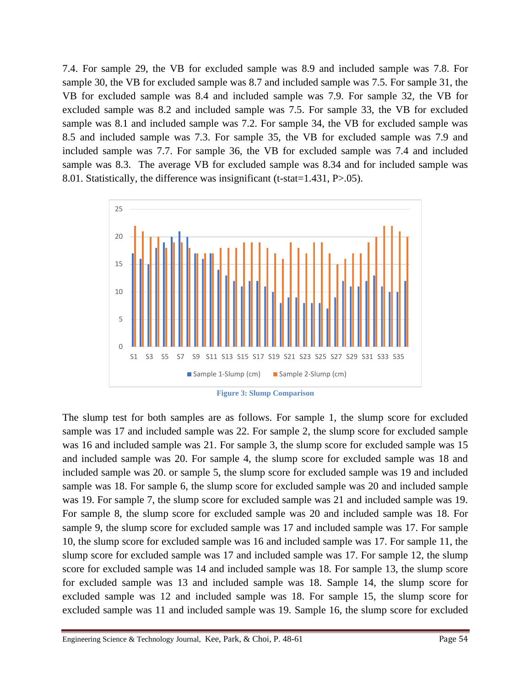7.4. For sample 29, the VB for excluded sample was 8.9 and included sample was 7.8. For sample 30, the VB for excluded sample was 8.7 and included sample was 7.5. For sample 31, the VB for excluded sample was 8.4 and included sample was 7.9. For sample 32, the VB for excluded sample was 8.2 and included sample was 7.5. For sample 33, the VB for excluded sample was 8.1 and included sample was 7.2. For sample 34, the VB for excluded sample was 8.5 and included sample was 7.3. For sample 35, the VB for excluded sample was 7.9 and included sample was 7.7. For sample 36, the VB for excluded sample was 7.4 and included sample was 8.3. The average VB for excluded sample was 8.34 and for included sample was 8.01. Statistically, the difference was insignificant (t-stat=1.431, P>.05).



The slump test for both samples are as follows. For sample 1, the slump score for excluded sample was 17 and included sample was 22. For sample 2, the slump score for excluded sample was 16 and included sample was 21. For sample 3, the slump score for excluded sample was 15 and included sample was 20. For sample 4, the slump score for excluded sample was 18 and included sample was 20. or sample 5, the slump score for excluded sample was 19 and included sample was 18. For sample 6, the slump score for excluded sample was 20 and included sample was 19. For sample 7, the slump score for excluded sample was 21 and included sample was 19. For sample 8, the slump score for excluded sample was 20 and included sample was 18. For sample 9, the slump score for excluded sample was 17 and included sample was 17. For sample 10, the slump score for excluded sample was 16 and included sample was 17. For sample 11, the slump score for excluded sample was 17 and included sample was 17. For sample 12, the slump score for excluded sample was 14 and included sample was 18. For sample 13, the slump score for excluded sample was 13 and included sample was 18. Sample 14, the slump score for excluded sample was 12 and included sample was 18. For sample 15, the slump score for excluded sample was 11 and included sample was 19. Sample 16, the slump score for excluded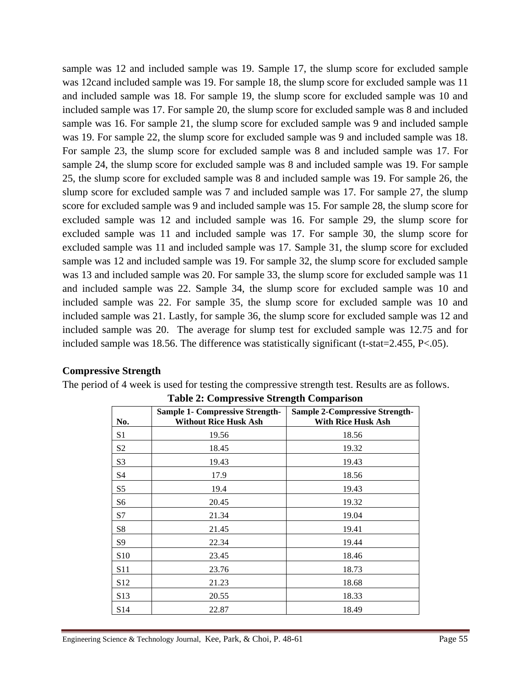sample was 12 and included sample was 19. Sample 17, the slump score for excluded sample was 12cand included sample was 19. For sample 18, the slump score for excluded sample was 11 and included sample was 18. For sample 19, the slump score for excluded sample was 10 and included sample was 17. For sample 20, the slump score for excluded sample was 8 and included sample was 16. For sample 21, the slump score for excluded sample was 9 and included sample was 19. For sample 22, the slump score for excluded sample was 9 and included sample was 18. For sample 23, the slump score for excluded sample was 8 and included sample was 17. For sample 24, the slump score for excluded sample was 8 and included sample was 19. For sample 25, the slump score for excluded sample was 8 and included sample was 19. For sample 26, the slump score for excluded sample was 7 and included sample was 17. For sample 27, the slump score for excluded sample was 9 and included sample was 15. For sample 28, the slump score for excluded sample was 12 and included sample was 16. For sample 29, the slump score for excluded sample was 11 and included sample was 17. For sample 30, the slump score for excluded sample was 11 and included sample was 17. Sample 31, the slump score for excluded sample was 12 and included sample was 19. For sample 32, the slump score for excluded sample was 13 and included sample was 20. For sample 33, the slump score for excluded sample was 11 and included sample was 22. Sample 34, the slump score for excluded sample was 10 and included sample was 22. For sample 35, the slump score for excluded sample was 10 and included sample was 21. Lastly, for sample 36, the slump score for excluded sample was 12 and included sample was 20. The average for slump test for excluded sample was 12.75 and for included sample was 18.56. The difference was statistically significant (t-stat=2.455, P<.05).

#### **Compressive Strength**

The period of 4 week is used for testing the compressive strength test. Results are as follows.

| No.             | <b>Sample 1- Compressive Strength-</b><br><b>Without Rice Husk Ash</b> | <b>Sample 2-Compressive Strength-</b><br>With Rice Husk Ash |
|-----------------|------------------------------------------------------------------------|-------------------------------------------------------------|
| S <sub>1</sub>  | 19.56                                                                  | 18.56                                                       |
| S <sub>2</sub>  | 18.45                                                                  | 19.32                                                       |
| S <sub>3</sub>  | 19.43                                                                  | 19.43                                                       |
| S4              | 17.9                                                                   | 18.56                                                       |
| S <sub>5</sub>  | 19.4                                                                   | 19.43                                                       |
| S <sub>6</sub>  | 20.45                                                                  | 19.32                                                       |
| S7              | 21.34                                                                  | 19.04                                                       |
| S8              | 21.45                                                                  | 19.41                                                       |
| S <sub>9</sub>  | 22.34                                                                  | 19.44                                                       |
| S <sub>10</sub> | 23.45                                                                  | 18.46                                                       |
| S <sub>11</sub> | 23.76                                                                  | 18.73                                                       |
| S <sub>12</sub> | 21.23                                                                  | 18.68                                                       |
| S13             | 20.55                                                                  | 18.33                                                       |
| S <sub>14</sub> | 22.87                                                                  | 18.49                                                       |

**Table 2: Compressive Strength Comparison**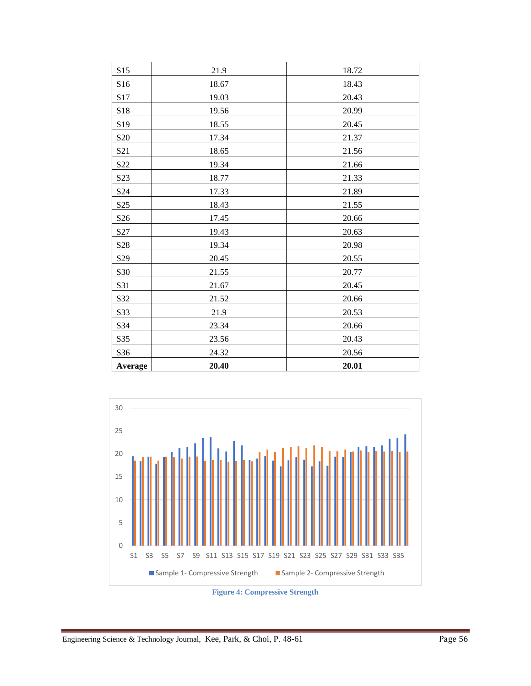| Average          | 20.40 | 20.01 |
|------------------|-------|-------|
| S36              | 24.32 | 20.56 |
| S35              | 23.56 | 20.43 |
| S34              | 23.34 | 20.66 |
| S33              | 21.9  | 20.53 |
| S32              | 21.52 | 20.66 |
| S31              | 21.67 | 20.45 |
| S30              | 21.55 | 20.77 |
| S <sub>29</sub>  | 20.45 | 20.55 |
| S28              | 19.34 | 20.98 |
| S27              | 19.43 | 20.63 |
| S <sub>26</sub>  | 17.45 | 20.66 |
| S <sub>25</sub>  | 18.43 | 21.55 |
| S24              | 17.33 | 21.89 |
| S <sub>2</sub> 3 | 18.77 | 21.33 |
| S22              | 19.34 | 21.66 |
| S21              | 18.65 | 21.56 |
| S <sub>20</sub>  | 17.34 | 21.37 |
| S19              | 18.55 | 20.45 |
| S18              | 19.56 | 20.99 |
| S17              | 19.03 | 20.43 |
| S16              | 18.67 | 18.43 |
| S15              | 21.9  | 18.72 |



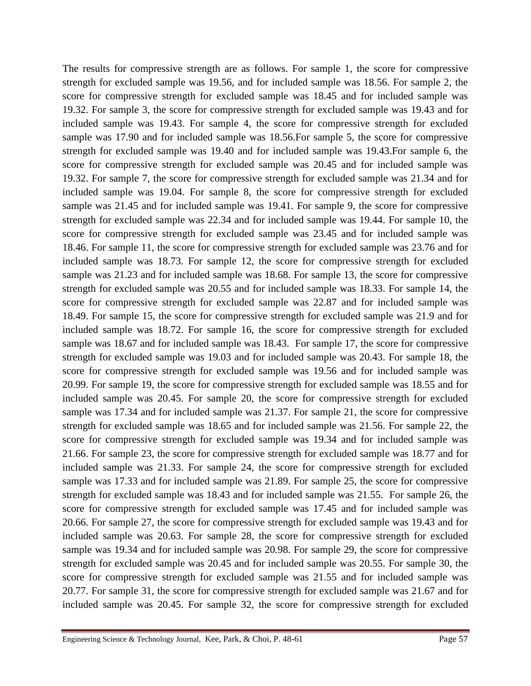The results for compressive strength are as follows. For sample 1, the score for compressive strength for excluded sample was 19.56, and for included sample was 18.56. For sample 2, the score for compressive strength for excluded sample was 18.45 and for included sample was 19.32. For sample 3, the score for compressive strength for excluded sample was 19.43 and for included sample was 19.43. For sample 4, the score for compressive strength for excluded sample was 17.90 and for included sample was 18.56.For sample 5, the score for compressive strength for excluded sample was 19.40 and for included sample was 19.43.For sample 6, the score for compressive strength for excluded sample was 20.45 and for included sample was 19.32. For sample 7, the score for compressive strength for excluded sample was 21.34 and for included sample was 19.04. For sample 8, the score for compressive strength for excluded sample was 21.45 and for included sample was 19.41. For sample 9, the score for compressive strength for excluded sample was 22.34 and for included sample was 19.44. For sample 10, the score for compressive strength for excluded sample was 23.45 and for included sample was 18.46. For sample 11, the score for compressive strength for excluded sample was 23.76 and for included sample was 18.73. For sample 12, the score for compressive strength for excluded sample was 21.23 and for included sample was 18.68. For sample 13, the score for compressive strength for excluded sample was 20.55 and for included sample was 18.33. For sample 14, the score for compressive strength for excluded sample was 22.87 and for included sample was 18.49. For sample 15, the score for compressive strength for excluded sample was 21.9 and for included sample was 18.72. For sample 16, the score for compressive strength for excluded sample was 18.67 and for included sample was 18.43. For sample 17, the score for compressive strength for excluded sample was 19.03 and for included sample was 20.43. For sample 18, the score for compressive strength for excluded sample was 19.56 and for included sample was 20.99. For sample 19, the score for compressive strength for excluded sample was 18.55 and for included sample was 20.45. For sample 20, the score for compressive strength for excluded sample was 17.34 and for included sample was 21.37. For sample 21, the score for compressive strength for excluded sample was 18.65 and for included sample was 21.56. For sample 22, the score for compressive strength for excluded sample was 19.34 and for included sample was 21.66. For sample 23, the score for compressive strength for excluded sample was 18.77 and for included sample was 21.33. For sample 24, the score for compressive strength for excluded sample was 17.33 and for included sample was 21.89. For sample 25, the score for compressive strength for excluded sample was 18.43 and for included sample was 21.55. For sample 26, the score for compressive strength for excluded sample was 17.45 and for included sample was 20.66. For sample 27, the score for compressive strength for excluded sample was 19.43 and for included sample was 20.63. For sample 28, the score for compressive strength for excluded sample was 19.34 and for included sample was 20.98. For sample 29, the score for compressive strength for excluded sample was 20.45 and for included sample was 20.55. For sample 30, the score for compressive strength for excluded sample was 21.55 and for included sample was 20.77. For sample 31, the score for compressive strength for excluded sample was 21.67 and for included sample was 20.45. For sample 32, the score for compressive strength for excluded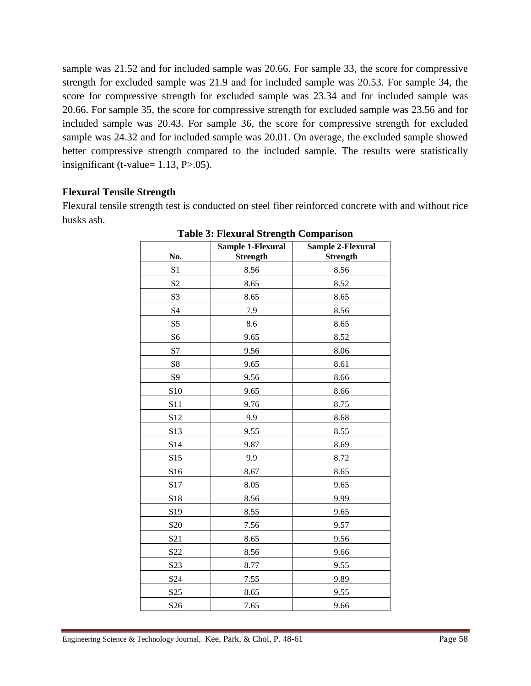sample was 21.52 and for included sample was 20.66. For sample 33, the score for compressive strength for excluded sample was 21.9 and for included sample was 20.53. For sample 34, the score for compressive strength for excluded sample was 23.34 and for included sample was 20.66. For sample 35, the score for compressive strength for excluded sample was 23.56 and for included sample was 20.43. For sample 36, the score for compressive strength for excluded sample was 24.32 and for included sample was 20.01. On average, the excluded sample showed better compressive strength compared to the included sample. The results were statistically insignificant (t-value=  $1.13$ ,  $P > .05$ ).

### **Flexural Tensile Strength**

Flexural tensile strength test is conducted on steel fiber reinforced concrete with and without rice husks ash.

| No.             | <b>Sample 1-Flexural</b><br><b>Strength</b> | <b>Sample 2-Flexural</b><br><b>Strength</b> |
|-----------------|---------------------------------------------|---------------------------------------------|
| S <sub>1</sub>  | 8.56                                        | 8.56                                        |
| S <sub>2</sub>  | 8.65                                        | 8.52                                        |
| S <sub>3</sub>  | 8.65                                        | 8.65                                        |
| S4              | 7.9                                         | 8.56                                        |
| S <sub>5</sub>  | 8.6                                         | 8.65                                        |
| S <sub>6</sub>  | 9.65                                        | 8.52                                        |
| S7              | 9.56                                        | 8.06                                        |
| S <sub>8</sub>  | 9.65                                        | 8.61                                        |
| S <sub>9</sub>  | 9.56                                        | 8.66                                        |
| S10             | 9.65                                        | 8.66                                        |
| S11             | 9.76                                        | 8.75                                        |
| S <sub>12</sub> | 9.9                                         | 8.68                                        |
| S13             | 9.55                                        | 8.55                                        |
| S14             | 9.87                                        | 8.69                                        |
| S15             | 9.9                                         | 8.72                                        |
| S16             | 8.67                                        | 8.65                                        |
| S17             | 8.05                                        | 9.65                                        |
| S18             | 8.56                                        | 9.99                                        |
| S19             | 8.55                                        | 9.65                                        |
| S <sub>20</sub> | 7.56                                        | 9.57                                        |
| S <sub>21</sub> | 8.65                                        | 9.56                                        |
| S22             | 8.56                                        | 9.66                                        |
| S <sub>23</sub> | 8.77                                        | 9.55                                        |
| S <sub>24</sub> | 7.55                                        | 9.89                                        |
| S <sub>25</sub> | 8.65                                        | 9.55                                        |
| S <sub>26</sub> | 7.65                                        | 9.66                                        |

# **Table 3: Flexural Strength Comparison**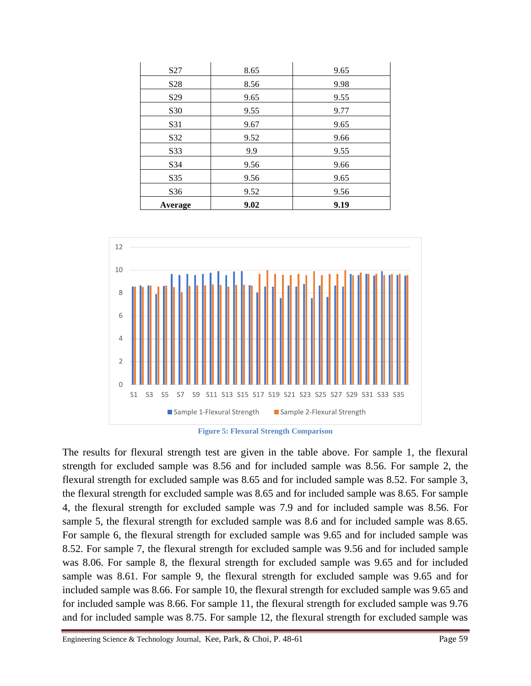| S <sub>27</sub> | 8.65 | 9.65 |
|-----------------|------|------|
| S <sub>28</sub> | 8.56 | 9.98 |
| S <sub>29</sub> | 9.65 | 9.55 |
| S30             | 9.55 | 9.77 |
| S31             | 9.67 | 9.65 |
| S32             | 9.52 | 9.66 |
| S33             | 9.9  | 9.55 |
| S34             | 9.56 | 9.66 |
| S35             | 9.56 | 9.65 |
| S36             | 9.52 | 9.56 |
| Average         | 9.02 | 9.19 |



**Figure 5: Flexural Strength Comparison**

The results for flexural strength test are given in the table above. For sample 1, the flexural strength for excluded sample was 8.56 and for included sample was 8.56. For sample 2, the flexural strength for excluded sample was 8.65 and for included sample was 8.52. For sample 3, the flexural strength for excluded sample was 8.65 and for included sample was 8.65. For sample 4, the flexural strength for excluded sample was 7.9 and for included sample was 8.56. For sample 5, the flexural strength for excluded sample was 8.6 and for included sample was 8.65. For sample 6, the flexural strength for excluded sample was 9.65 and for included sample was 8.52. For sample 7, the flexural strength for excluded sample was 9.56 and for included sample was 8.06. For sample 8, the flexural strength for excluded sample was 9.65 and for included sample was 8.61. For sample 9, the flexural strength for excluded sample was 9.65 and for included sample was 8.66. For sample 10, the flexural strength for excluded sample was 9.65 and for included sample was 8.66. For sample 11, the flexural strength for excluded sample was 9.76 and for included sample was 8.75. For sample 12, the flexural strength for excluded sample was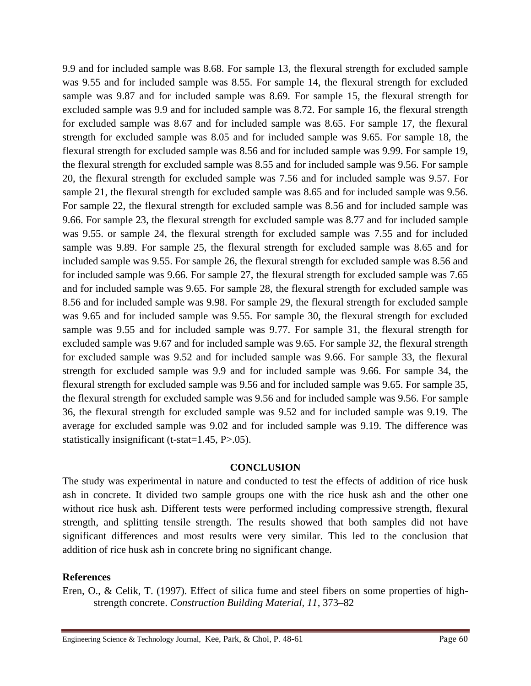9.9 and for included sample was 8.68. For sample 13, the flexural strength for excluded sample was 9.55 and for included sample was 8.55. For sample 14, the flexural strength for excluded sample was 9.87 and for included sample was 8.69. For sample 15, the flexural strength for excluded sample was 9.9 and for included sample was 8.72. For sample 16, the flexural strength for excluded sample was 8.67 and for included sample was 8.65. For sample 17, the flexural strength for excluded sample was 8.05 and for included sample was 9.65. For sample 18, the flexural strength for excluded sample was 8.56 and for included sample was 9.99. For sample 19, the flexural strength for excluded sample was 8.55 and for included sample was 9.56. For sample 20, the flexural strength for excluded sample was 7.56 and for included sample was 9.57. For sample 21, the flexural strength for excluded sample was 8.65 and for included sample was 9.56. For sample 22, the flexural strength for excluded sample was 8.56 and for included sample was 9.66. For sample 23, the flexural strength for excluded sample was 8.77 and for included sample was 9.55. or sample 24, the flexural strength for excluded sample was 7.55 and for included sample was 9.89. For sample 25, the flexural strength for excluded sample was 8.65 and for included sample was 9.55. For sample 26, the flexural strength for excluded sample was 8.56 and for included sample was 9.66. For sample 27, the flexural strength for excluded sample was 7.65 and for included sample was 9.65. For sample 28, the flexural strength for excluded sample was 8.56 and for included sample was 9.98. For sample 29, the flexural strength for excluded sample was 9.65 and for included sample was 9.55. For sample 30, the flexural strength for excluded sample was 9.55 and for included sample was 9.77. For sample 31, the flexural strength for excluded sample was 9.67 and for included sample was 9.65. For sample 32, the flexural strength for excluded sample was 9.52 and for included sample was 9.66. For sample 33, the flexural strength for excluded sample was 9.9 and for included sample was 9.66. For sample 34, the flexural strength for excluded sample was 9.56 and for included sample was 9.65. For sample 35, the flexural strength for excluded sample was 9.56 and for included sample was 9.56. For sample 36, the flexural strength for excluded sample was 9.52 and for included sample was 9.19. The average for excluded sample was 9.02 and for included sample was 9.19. The difference was statistically insignificant (t-stat=1.45, P>.05).

#### **CONCLUSION**

The study was experimental in nature and conducted to test the effects of addition of rice husk ash in concrete. It divided two sample groups one with the rice husk ash and the other one without rice husk ash. Different tests were performed including compressive strength, flexural strength, and splitting tensile strength. The results showed that both samples did not have significant differences and most results were very similar. This led to the conclusion that addition of rice husk ash in concrete bring no significant change.

#### **References**

Eren, O., & Celik, T. (1997). Effect of silica fume and steel fibers on some properties of highstrength concrete. *Construction Building Material, 11*, 373–82